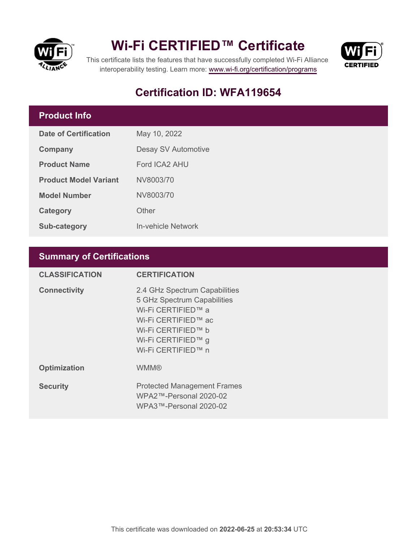

## **Wi-Fi CERTIFIED™ Certificate**



This certificate lists the features that have successfully completed Wi-Fi Alliance interoperability testing. Learn more:<www.wi-fi.org/certification/programs>

## **Certification ID: WFA119654**

### **Product Info**

| Date of Certification        | May 10, 2022        |  |
|------------------------------|---------------------|--|
| Company                      | Desay SV Automotive |  |
| <b>Product Name</b>          | Ford ICA2 AHU       |  |
| <b>Product Model Variant</b> | NV8003/70           |  |
| <b>Model Number</b>          | NV8003/70           |  |
| Category                     | Other               |  |
| <b>Sub-category</b>          | In-vehicle Network  |  |

### **Summary of Certifications**

| <b>CLASSIFICATION</b> | <b>CERTIFICATION</b>                                                                                                                                                        |
|-----------------------|-----------------------------------------------------------------------------------------------------------------------------------------------------------------------------|
| <b>Connectivity</b>   | 2.4 GHz Spectrum Capabilities<br>5 GHz Spectrum Capabilities<br>Wi-Fi CERTIFIED™ a<br>Wi-Fi CERTIFIED™ ac<br>Wi-Fi CERTIFIED™ b<br>Wi-Fi CERTIFIED™ g<br>Wi-Fi CERTIFIED™ n |
| <b>Optimization</b>   | <b>WMM®</b>                                                                                                                                                                 |
| <b>Security</b>       | <b>Protected Management Frames</b><br>$WPA2$ ™-Personal 2020-02<br>WPA3™-Personal 2020-02                                                                                   |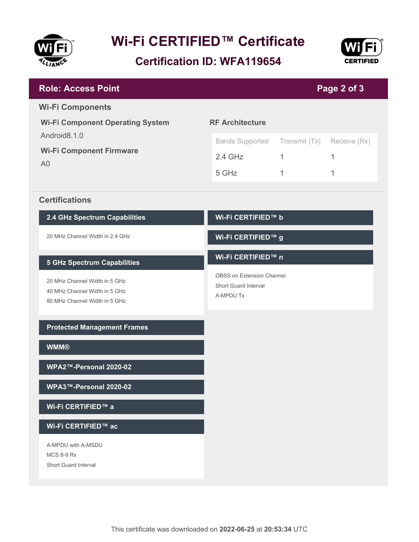

# **Wi-Fi CERTIFIED™ Certificate**

**Certification ID: WFA119654**



| <b>Role: Access Point</b><br>Page 2 of 3                          |                                   |               |              |  |
|-------------------------------------------------------------------|-----------------------------------|---------------|--------------|--|
| <b>Wi-Fi Components</b>                                           |                                   |               |              |  |
| <b>Wi-Fi Component Operating System</b>                           | <b>RF Architecture</b>            |               |              |  |
| Android8.1.0<br><b>Wi-Fi Component Firmware</b><br>A <sub>0</sub> | <b>Bands Supported</b>            | Transmit (Tx) | Receive (Rx) |  |
|                                                                   | $2.4$ GHz                         | $\mathbf{1}$  | 1            |  |
|                                                                   | 5 GHz                             | 1             | 1            |  |
| <b>Certifications</b>                                             |                                   |               |              |  |
| 2.4 GHz Spectrum Capabilities                                     | Wi-Fi CERTIFIED™ b                |               |              |  |
| 20 MHz Channel Width in 2.4 GHz                                   | Wi-Fi CERTIFIED™ g                |               |              |  |
| <b>5 GHz Spectrum Capabilities</b>                                | Wi-Fi CERTIFIED™ n                |               |              |  |
| 20 MHz Channel Width in 5 GHz                                     | OBSS on Extension Channel         |               |              |  |
| 40 MHz Channel Width in 5 GHz<br>80 MHz Channel Width in 5 GHz    | Short Guard Interval<br>A-MPDU Tx |               |              |  |
|                                                                   |                                   |               |              |  |
| <b>Protected Management Frames</b>                                |                                   |               |              |  |
| <b>WMM®</b>                                                       |                                   |               |              |  |
| WPA2™-Personal 2020-02                                            |                                   |               |              |  |
| WPA3™-Personal 2020-02                                            |                                   |               |              |  |
| Wi-Fi CERTIFIED™ a                                                |                                   |               |              |  |
| Wi-Fi CERTIFIED™ ac                                               |                                   |               |              |  |
| A-MPDU with A-MSDU                                                |                                   |               |              |  |
| <b>MCS 8-9 Rx</b><br>Short Guard Interval                         |                                   |               |              |  |